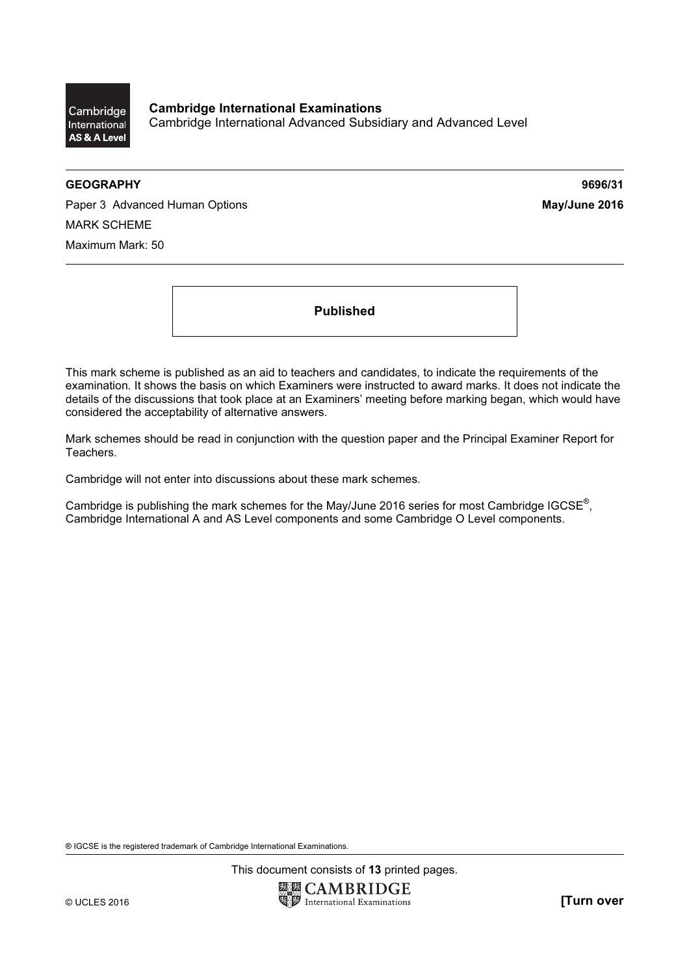

## GEOGRAPHY 9696/31

Paper 3 Advanced Human Options May/June 2016 MARK SCHEME Maximum Mark: 50

Published

This mark scheme is published as an aid to teachers and candidates, to indicate the requirements of the examination. It shows the basis on which Examiners were instructed to award marks. It does not indicate the details of the discussions that took place at an Examiners' meeting before marking began, which would have considered the acceptability of alternative answers.

Mark schemes should be read in conjunction with the question paper and the Principal Examiner Report for Teachers.

Cambridge will not enter into discussions about these mark schemes.

Cambridge is publishing the mark schemes for the May/June 2016 series for most Cambridge IGCSE*®* , Cambridge International A and AS Level components and some Cambridge O Level components.

® IGCSE is the registered trademark of Cambridge International Examinations.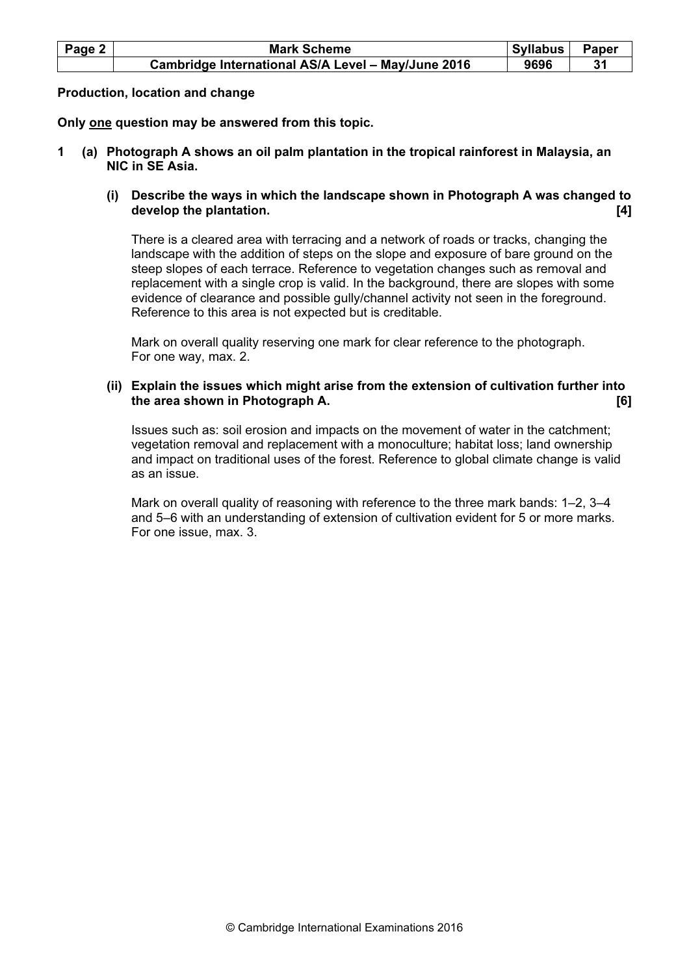| Page 2 | <b>Mark Scheme</b>                                 | Syllabus | Paper |
|--------|----------------------------------------------------|----------|-------|
|        | Cambridge International AS/A Level - May/June 2016 | 9696     |       |

Production, location and change

Only one question may be answered from this topic.

- 1 (a) Photograph A shows an oil palm plantation in the tropical rainforest in Malaysia, an NIC in SE Asia.
	- (i) Describe the ways in which the landscape shown in Photograph A was changed to develop the plantation. **Example 20** is the plantation of the problem of the plantation of the plantation of the p

There is a cleared area with terracing and a network of roads or tracks, changing the landscape with the addition of steps on the slope and exposure of bare ground on the steep slopes of each terrace. Reference to vegetation changes such as removal and replacement with a single crop is valid. In the background, there are slopes with some evidence of clearance and possible gully/channel activity not seen in the foreground. Reference to this area is not expected but is creditable.

Mark on overall quality reserving one mark for clear reference to the photograph. For one way, max. 2.

 (ii) Explain the issues which might arise from the extension of cultivation further into the area shown in Photograph A. **Example 20** and 20 and 20 and 20 and 20 and 20 and 20 and 20 and 20 and 20 and 20 and 20 and 20 and 20 and 20 and 20 and 20 and 20 and 20 and 20 and 20 and 20 and 20 and 20 and 20 and 20 an

Issues such as: soil erosion and impacts on the movement of water in the catchment; vegetation removal and replacement with a monoculture; habitat loss; land ownership and impact on traditional uses of the forest. Reference to global climate change is valid as an issue.

Mark on overall quality of reasoning with reference to the three mark bands: 1–2, 3–4 and 5–6 with an understanding of extension of cultivation evident for 5 or more marks. For one issue, max. 3.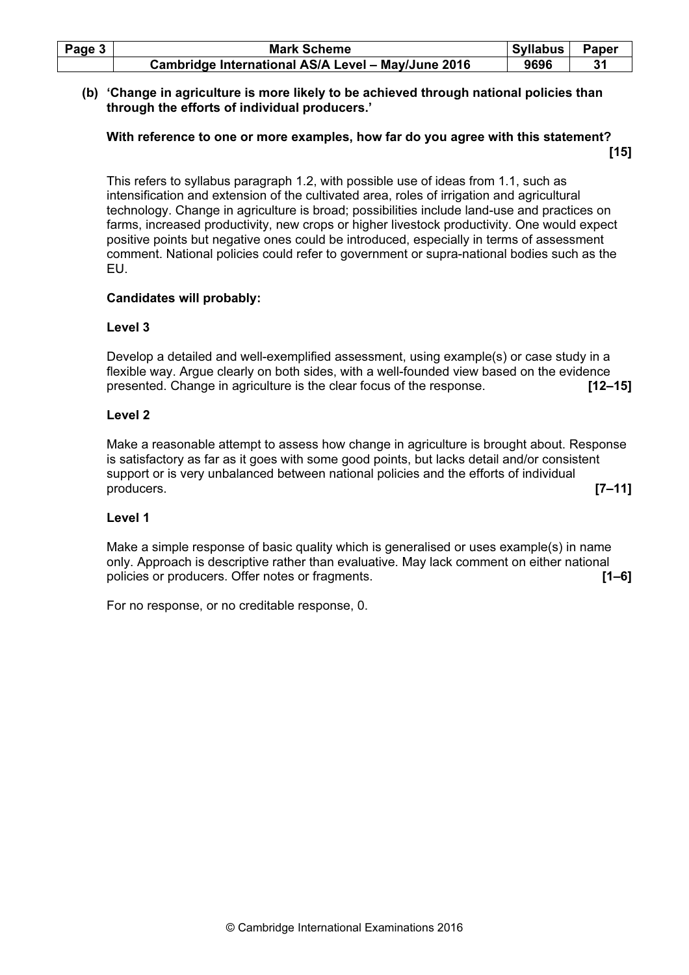| Page $3$ | <b>Mark Scheme</b>                                 | Syllabus | Paper |
|----------|----------------------------------------------------|----------|-------|
|          | Cambridge International AS/A Level - May/June 2016 | 9696     |       |

#### (b) 'Change in agriculture is more likely to be achieved through national policies than through the efforts of individual producers.'

## With reference to one or more examples, how far do you agree with this statement?  $[15]$

This refers to syllabus paragraph 1.2, with possible use of ideas from 1.1, such as intensification and extension of the cultivated area, roles of irrigation and agricultural technology. Change in agriculture is broad; possibilities include land-use and practices on farms, increased productivity, new crops or higher livestock productivity. One would expect positive points but negative ones could be introduced, especially in terms of assessment comment. National policies could refer to government or supra-national bodies such as the EU.

# Candidates will probably:

## Level 3

Develop a detailed and well-exemplified assessment, using example(s) or case study in a flexible way. Argue clearly on both sides, with a well-founded view based on the evidence presented. Change in agriculture is the clear focus of the response. [12–15]

## Level 2

Make a reasonable attempt to assess how change in agriculture is brought about. Response is satisfactory as far as it goes with some good points, but lacks detail and/or consistent support or is very unbalanced between national policies and the efforts of individual producers. [7–11]

# Level 1

Make a simple response of basic quality which is generalised or uses example(s) in name only. Approach is descriptive rather than evaluative. May lack comment on either national policies or producers. Offer notes or fragments. **[1–6]** [1–6]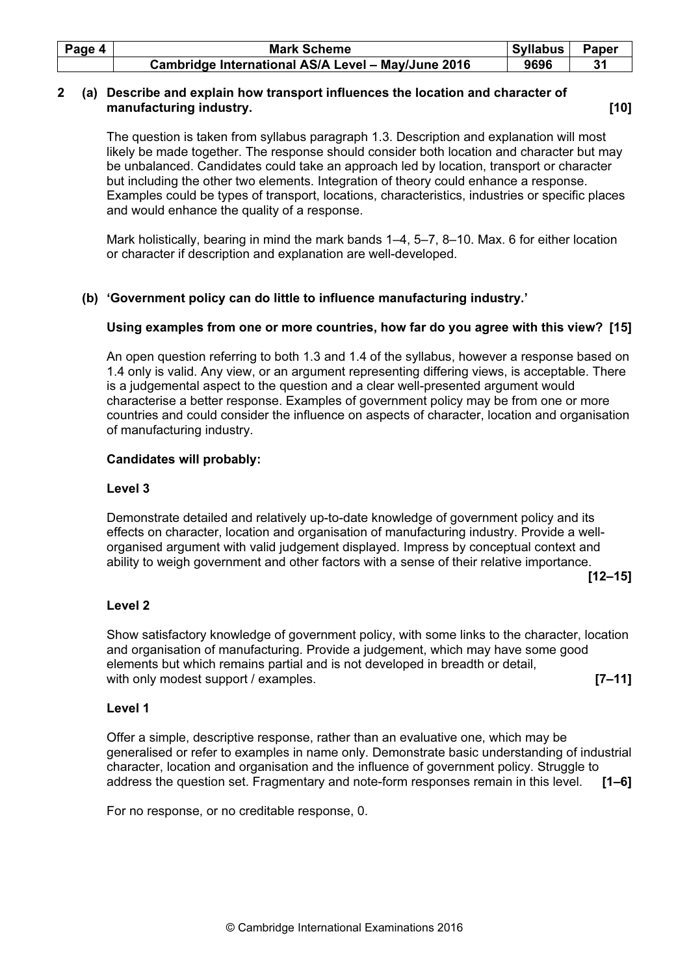| Page 4 | <b>Mark Scheme</b>                                 | Syllabus | Paper |
|--------|----------------------------------------------------|----------|-------|
|        | Cambridge International AS/A Level - May/June 2016 | 9696     |       |

## 2 (a) Describe and explain how transport influences the location and character of manufacturing industry. **Example 20** and the set of the set of the set of the set of the set of the set of the set of the set of the set of the set of the set of the set of the set of the set of the set of the set of the s

The question is taken from syllabus paragraph 1.3. Description and explanation will most likely be made together. The response should consider both location and character but may be unbalanced. Candidates could take an approach led by location, transport or character but including the other two elements. Integration of theory could enhance a response. Examples could be types of transport, locations, characteristics, industries or specific places and would enhance the quality of a response.

Mark holistically, bearing in mind the mark bands 1–4, 5–7, 8–10. Max. 6 for either location or character if description and explanation are well-developed.

# (b) 'Government policy can do little to influence manufacturing industry.'

# Using examples from one or more countries, how far do you agree with this view? [15]

An open question referring to both 1.3 and 1.4 of the syllabus, however a response based on 1.4 only is valid. Any view, or an argument representing differing views, is acceptable. There is a judgemental aspect to the question and a clear well-presented argument would characterise a better response. Examples of government policy may be from one or more countries and could consider the influence on aspects of character, location and organisation of manufacturing industry.

## Candidates will probably:

#### Level 3

Demonstrate detailed and relatively up-to-date knowledge of government policy and its effects on character, location and organisation of manufacturing industry. Provide a wellorganised argument with valid judgement displayed. Impress by conceptual context and ability to weigh government and other factors with a sense of their relative importance.

[12–15]

# Level 2

Show satisfactory knowledge of government policy, with some links to the character, location and organisation of manufacturing. Provide a judgement, which may have some good elements but which remains partial and is not developed in breadth or detail, with only modest support / examples. **[7–11]** 

# Level 1

Offer a simple, descriptive response, rather than an evaluative one, which may be generalised or refer to examples in name only. Demonstrate basic understanding of industrial character, location and organisation and the influence of government policy. Struggle to address the question set. Fragmentary and note-form responses remain in this level. [1–6]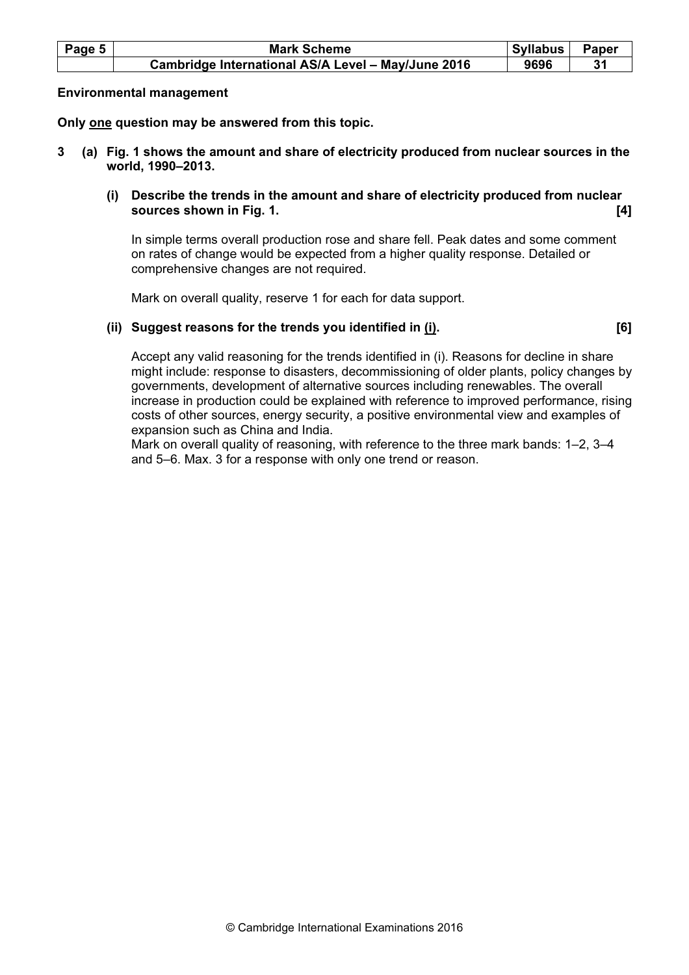| Page 5 $ $ | <b>Mark Scheme</b>                                 | Syllabus | Paper |
|------------|----------------------------------------------------|----------|-------|
|            | Cambridge International AS/A Level - May/June 2016 | 9696     |       |

## Environmental management

Only one question may be answered from this topic.

- 3 (a) Fig. 1 shows the amount and share of electricity produced from nuclear sources in the world, 1990–2013.
	- (i) Describe the trends in the amount and share of electricity produced from nuclear sources shown in Fig. 1. **Example 20** is the sources shown in Fig. 1.

In simple terms overall production rose and share fell. Peak dates and some comment on rates of change would be expected from a higher quality response. Detailed or comprehensive changes are not required.

Mark on overall quality, reserve 1 for each for data support.

# (ii) Suggest reasons for the trends you identified in (i). [6]

Accept any valid reasoning for the trends identified in (i). Reasons for decline in share might include: response to disasters, decommissioning of older plants, policy changes by governments, development of alternative sources including renewables. The overall increase in production could be explained with reference to improved performance, rising costs of other sources, energy security, a positive environmental view and examples of expansion such as China and India.

Mark on overall quality of reasoning, with reference to the three mark bands: 1–2, 3–4 and 5–6. Max. 3 for a response with only one trend or reason.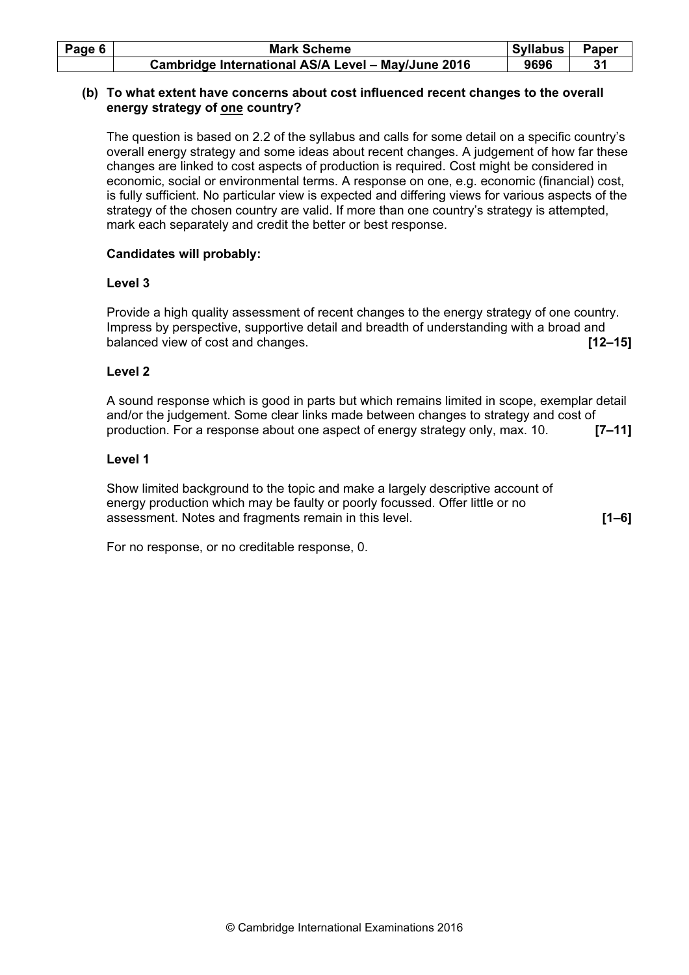| Page 6 | <b>Mark Scheme</b>                                 | <b>Syllabus</b> | <b>Paper</b> |
|--------|----------------------------------------------------|-----------------|--------------|
|        | Cambridge International AS/A Level - May/June 2016 | 9696            |              |

## (b) To what extent have concerns about cost influenced recent changes to the overall energy strategy of one country?

The question is based on 2.2 of the syllabus and calls for some detail on a specific country's overall energy strategy and some ideas about recent changes. A judgement of how far these changes are linked to cost aspects of production is required. Cost might be considered in economic, social or environmental terms. A response on one, e.g. economic (financial) cost, is fully sufficient. No particular view is expected and differing views for various aspects of the strategy of the chosen country are valid. If more than one country's strategy is attempted, mark each separately and credit the better or best response.

## Candidates will probably:

## Level 3

Provide a high quality assessment of recent changes to the energy strategy of one country. Impress by perspective, supportive detail and breadth of understanding with a broad and balanced view of cost and changes. **[12–15] [12–15]** 

## Level 2

A sound response which is good in parts but which remains limited in scope, exemplar detail and/or the judgement. Some clear links made between changes to strategy and cost of production. For a response about one aspect of energy strategy only, max. 10. **[7–11]** 

## Level 1

Show limited background to the topic and make a largely descriptive account of energy production which may be faulty or poorly focussed. Offer little or no assessment. Notes and fragments remain in this level. **[1–6]** [1–6]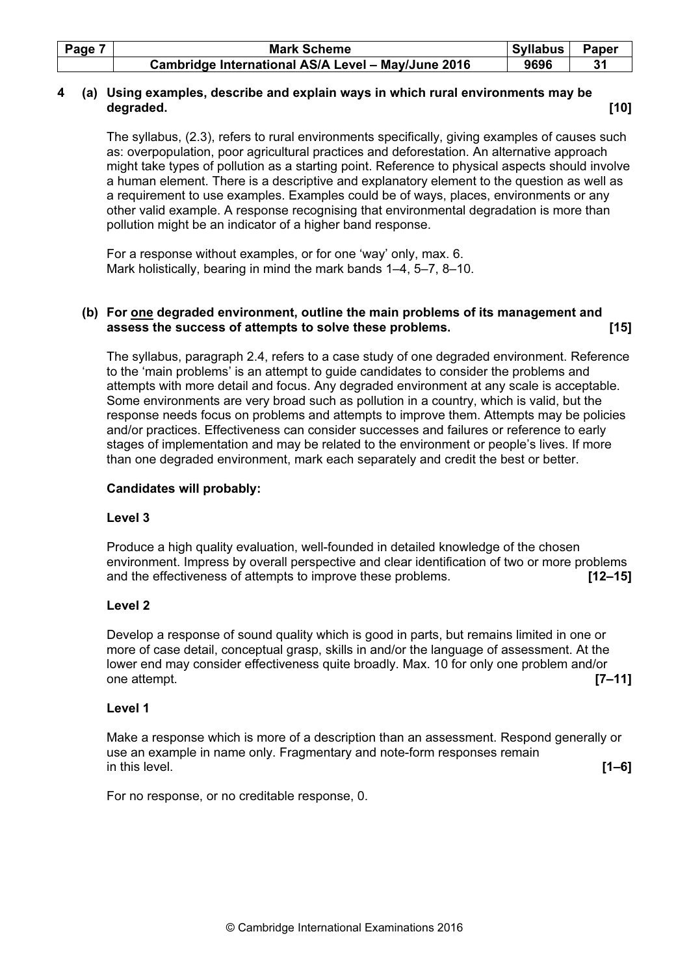| Page 7 | <b>Mark Scheme</b>                                 | Syllabus | Paper |
|--------|----------------------------------------------------|----------|-------|
|        | Cambridge International AS/A Level - May/June 2016 | 9696     |       |

# 4 (a) Using examples, describe and explain ways in which rural environments may be degraded. [10]

The syllabus, (2.3), refers to rural environments specifically, giving examples of causes such as: overpopulation, poor agricultural practices and deforestation. An alternative approach might take types of pollution as a starting point. Reference to physical aspects should involve a human element. There is a descriptive and explanatory element to the question as well as a requirement to use examples. Examples could be of ways, places, environments or any other valid example. A response recognising that environmental degradation is more than pollution might be an indicator of a higher band response.

For a response without examples, or for one 'way' only, max. 6. Mark holistically, bearing in mind the mark bands 1–4, 5–7, 8–10.

# (b) For one degraded environment, outline the main problems of its management and assess the success of attempts to solve these problems. [15]

The syllabus, paragraph 2.4, refers to a case study of one degraded environment. Reference to the 'main problems' is an attempt to guide candidates to consider the problems and attempts with more detail and focus. Any degraded environment at any scale is acceptable. Some environments are very broad such as pollution in a country, which is valid, but the response needs focus on problems and attempts to improve them. Attempts may be policies and/or practices. Effectiveness can consider successes and failures or reference to early stages of implementation and may be related to the environment or people's lives. If more than one degraded environment, mark each separately and credit the best or better.

# Candidates will probably:

# Level 3

Produce a high quality evaluation, well-founded in detailed knowledge of the chosen environment. Impress by overall perspective and clear identification of two or more problems and the effectiveness of attempts to improve these problems. [12–15]

# Level 2

Develop a response of sound quality which is good in parts, but remains limited in one or more of case detail, conceptual grasp, skills in and/or the language of assessment. At the lower end may consider effectiveness quite broadly. Max. 10 for only one problem and/or one attempt. [7–11]

#### Level 1

Make a response which is more of a description than an assessment. Respond generally or use an example in name only. Fragmentary and note-form responses remain in this level.  $[1-6]$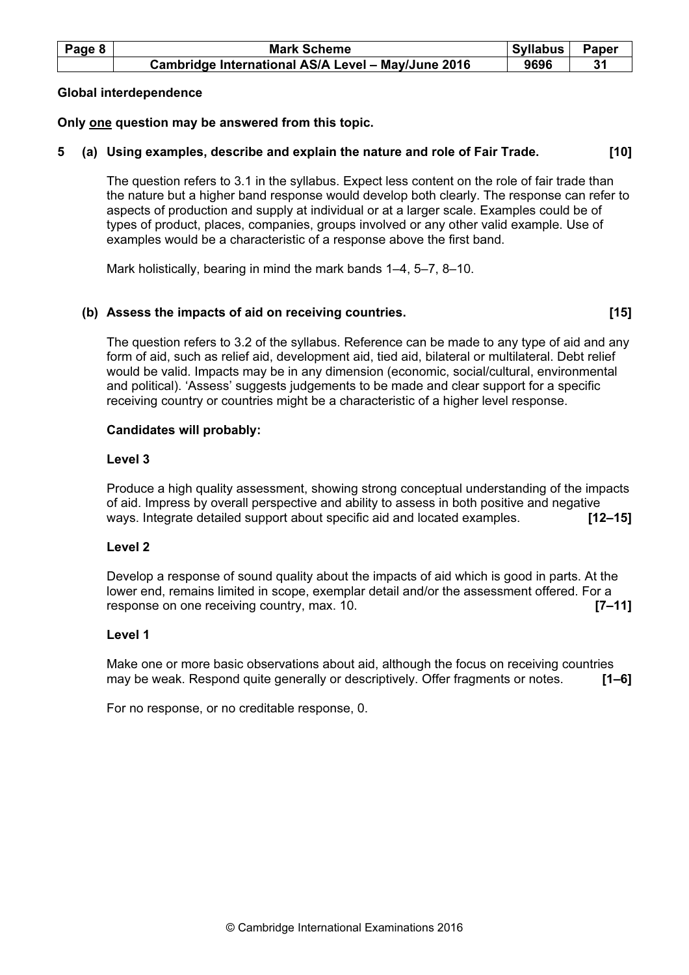| Page 8 | <b>Mark Scheme</b>                                 | Syllabus | Paper |
|--------|----------------------------------------------------|----------|-------|
|        | Cambridge International AS/A Level - May/June 2016 | 9696     |       |

#### Global interdependence

# Only one question may be answered from this topic.

# 5 (a) Using examples, describe and explain the nature and role of Fair Trade. [10]

The question refers to 3.1 in the syllabus. Expect less content on the role of fair trade than the nature but a higher band response would develop both clearly. The response can refer to aspects of production and supply at individual or at a larger scale. Examples could be of types of product, places, companies, groups involved or any other valid example. Use of examples would be a characteristic of a response above the first band.

Mark holistically, bearing in mind the mark bands 1–4, 5–7, 8–10.

## (b) Assess the impacts of aid on receiving countries. **Example 20** 115]

The question refers to 3.2 of the syllabus. Reference can be made to any type of aid and any form of aid, such as relief aid, development aid, tied aid, bilateral or multilateral. Debt relief would be valid. Impacts may be in any dimension (economic, social/cultural, environmental and political). 'Assess' suggests judgements to be made and clear support for a specific receiving country or countries might be a characteristic of a higher level response.

## Candidates will probably:

## Level 3

Produce a high quality assessment, showing strong conceptual understanding of the impacts of aid. Impress by overall perspective and ability to assess in both positive and negative ways. Integrate detailed support about specific aid and located examples. [12-15]

# Level 2

Develop a response of sound quality about the impacts of aid which is good in parts. At the lower end, remains limited in scope, exemplar detail and/or the assessment offered. For a response on one receiving country, max. 10. **Example 20 control**  $\blacksquare$  **7–11**]

#### Level 1

Make one or more basic observations about aid, although the focus on receiving countries may be weak. Respond quite generally or descriptively. Offer fragments or notes. [1–6]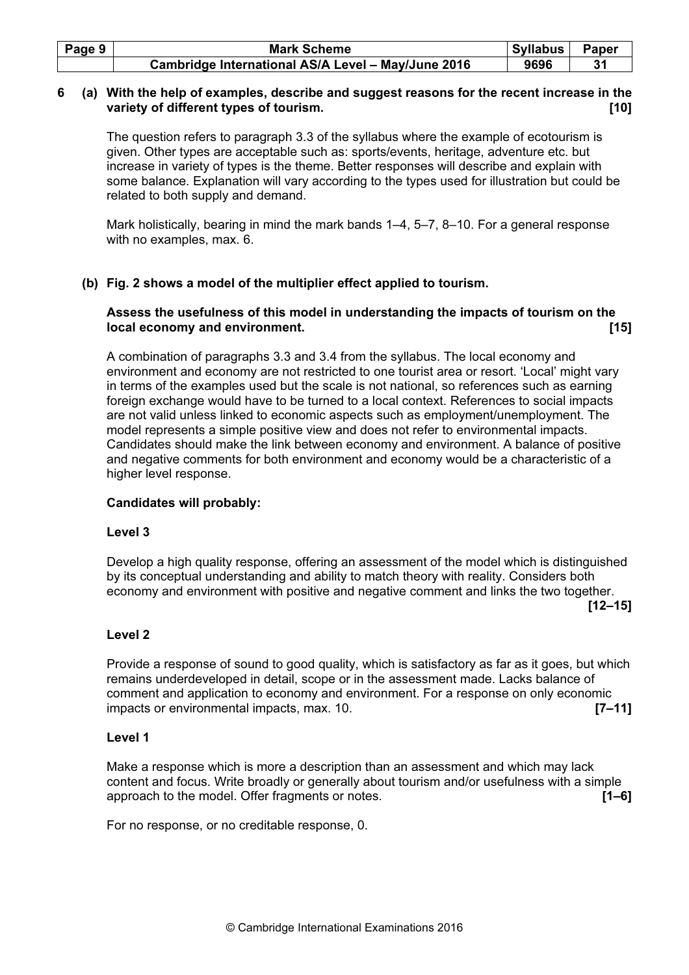| Page 9 | <b>Mark Scheme</b>                                 | Syllabus | Paper |
|--------|----------------------------------------------------|----------|-------|
|        | Cambridge International AS/A Level - May/June 2016 | 9696     |       |

# 6 (a) With the help of examples, describe and suggest reasons for the recent increase in the variety of different types of tourism. **Example 20** and the set of the set of the set of the set of the set of t

The question refers to paragraph 3.3 of the syllabus where the example of ecotourism is given. Other types are acceptable such as: sports/events, heritage, adventure etc. but increase in variety of types is the theme. Better responses will describe and explain with some balance. Explanation will vary according to the types used for illustration but could be related to both supply and demand.

Mark holistically, bearing in mind the mark bands 1–4, 5–7, 8–10. For a general response with no examples, max. 6.

# (b) Fig. 2 shows a model of the multiplier effect applied to tourism.

# Assess the usefulness of this model in understanding the impacts of tourism on the local economy and environment. **Example 20** is a set of the set of the set of the set of the set of the set of t

A combination of paragraphs 3.3 and 3.4 from the syllabus. The local economy and environment and economy are not restricted to one tourist area or resort. 'Local' might vary in terms of the examples used but the scale is not national, so references such as earning foreign exchange would have to be turned to a local context. References to social impacts are not valid unless linked to economic aspects such as employment/unemployment. The model represents a simple positive view and does not refer to environmental impacts. Candidates should make the link between economy and environment. A balance of positive and negative comments for both environment and economy would be a characteristic of a higher level response.

# Candidates will probably:

# Level 3

Develop a high quality response, offering an assessment of the model which is distinguished by its conceptual understanding and ability to match theory with reality. Considers both economy and environment with positive and negative comment and links the two together.

#### $[12-15]$

# Level 2

Provide a response of sound to good quality, which is satisfactory as far as it goes, but which remains underdeveloped in detail, scope or in the assessment made. Lacks balance of comment and application to economy and environment. For a response on only economic impacts or environmental impacts, max. 10. [7–11]

#### Level 1

Make a response which is more a description than an assessment and which may lack content and focus. Write broadly or generally about tourism and/or usefulness with a simple approach to the model. Offer fragments or notes. **EXECUTE:** [1–6] **[1–6]**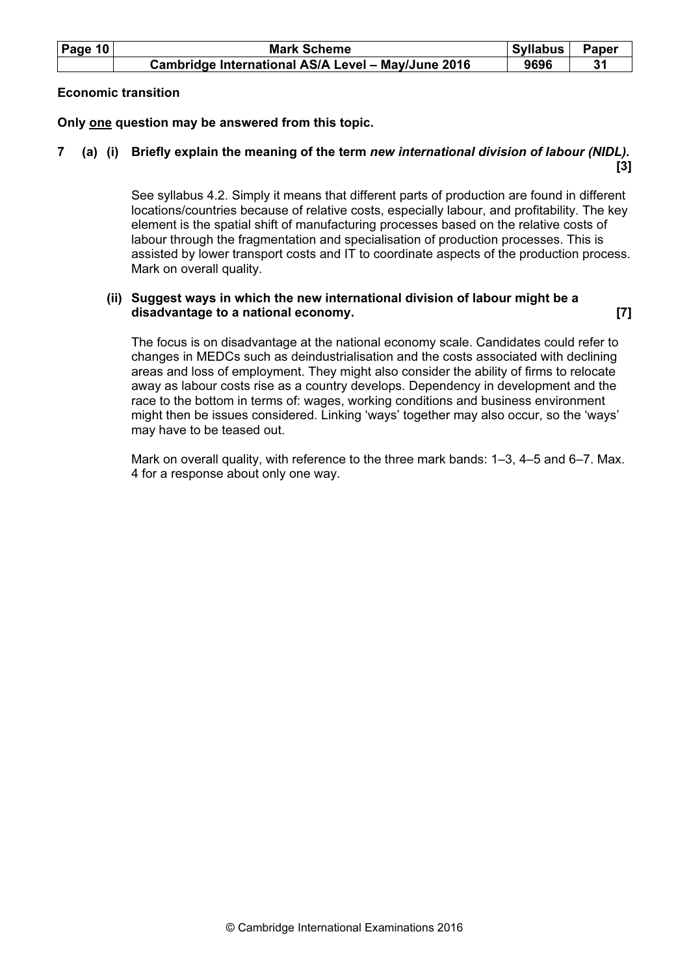| Page $10$ | <b>Mark Scheme</b>                                 | Syllabus | Paper |
|-----------|----------------------------------------------------|----------|-------|
|           | Cambridge International AS/A Level - May/June 2016 | 9696     |       |

### Economic transition

Only one question may be answered from this topic.

# 7 (a) (i) Briefly explain the meaning of the term new international division of labour (NIDL).  $[3]$

See syllabus 4.2. Simply it means that different parts of production are found in different locations/countries because of relative costs, especially labour, and profitability. The key element is the spatial shift of manufacturing processes based on the relative costs of labour through the fragmentation and specialisation of production processes. This is assisted by lower transport costs and IT to coordinate aspects of the production process. Mark on overall quality.

# (ii) Suggest ways in which the new international division of labour might be a disadvantage to a national economy. [7]

The focus is on disadvantage at the national economy scale. Candidates could refer to changes in MEDCs such as deindustrialisation and the costs associated with declining areas and loss of employment. They might also consider the ability of firms to relocate away as labour costs rise as a country develops. Dependency in development and the race to the bottom in terms of: wages, working conditions and business environment might then be issues considered. Linking 'ways' together may also occur, so the 'ways' may have to be teased out.

Mark on overall quality, with reference to the three mark bands: 1–3, 4–5 and 6–7. Max. 4 for a response about only one way.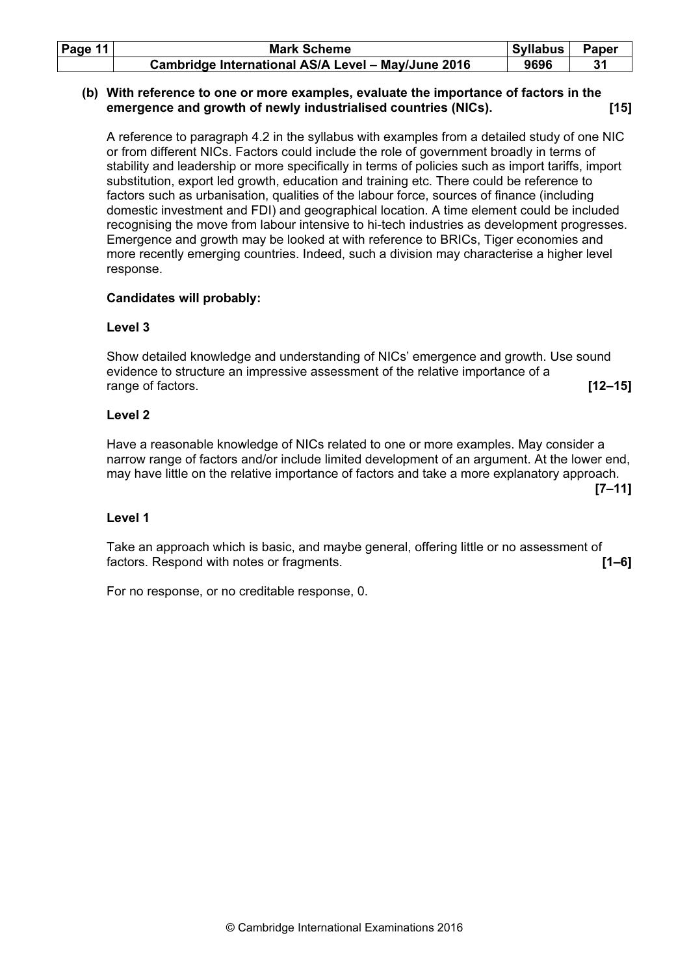| Page $11$ | <b>Mark Scheme</b>                                 | Syllabus | Paper |
|-----------|----------------------------------------------------|----------|-------|
|           | Cambridge International AS/A Level - May/June 2016 | 9696     |       |

### (b) With reference to one or more examples, evaluate the importance of factors in the emergence and growth of newly industrialised countries (NICs). [15]

A reference to paragraph 4.2 in the syllabus with examples from a detailed study of one NIC or from different NICs. Factors could include the role of government broadly in terms of stability and leadership or more specifically in terms of policies such as import tariffs, import substitution, export led growth, education and training etc. There could be reference to factors such as urbanisation, qualities of the labour force, sources of finance (including domestic investment and FDI) and geographical location. A time element could be included recognising the move from labour intensive to hi-tech industries as development progresses. Emergence and growth may be looked at with reference to BRICs, Tiger economies and more recently emerging countries. Indeed, such a division may characterise a higher level response.

## Candidates will probably:

## Level 3

Show detailed knowledge and understanding of NICs' emergence and growth. Use sound evidence to structure an impressive assessment of the relative importance of a range of factors. [12–15] **[12–15]** 

## Level 2

Have a reasonable knowledge of NICs related to one or more examples. May consider a narrow range of factors and/or include limited development of an argument. At the lower end, may have little on the relative importance of factors and take a more explanatory approach.

 $[7-11]$ 

#### Level 1

Take an approach which is basic, and maybe general, offering little or no assessment of factors. Respond with notes or fragments. [1–6]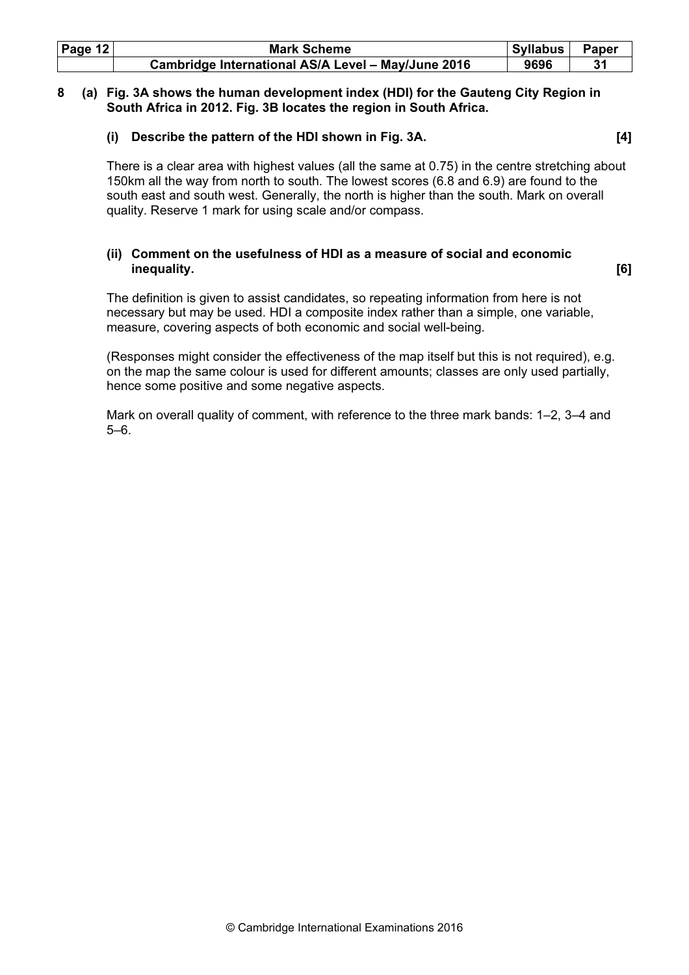| Page $12$ | <b>Mark Scheme</b>                                 | Syllabus | Paper |
|-----------|----------------------------------------------------|----------|-------|
|           | Cambridge International AS/A Level - May/June 2016 | 9696     |       |

## 8 (a) Fig. 3A shows the human development index (HDI) for the Gauteng City Region in South Africa in 2012. Fig. 3B locates the region in South Africa.

#### (i) Describe the pattern of the HDI shown in Fig. 3A. [4]

There is a clear area with highest values (all the same at 0.75) in the centre stretching about 150km all the way from north to south. The lowest scores (6.8 and 6.9) are found to the south east and south west. Generally, the north is higher than the south. Mark on overall quality. Reserve 1 mark for using scale and/or compass.

# (ii) Comment on the usefulness of HDI as a measure of social and economic inequality. [6]

The definition is given to assist candidates, so repeating information from here is not necessary but may be used. HDI a composite index rather than a simple, one variable, measure, covering aspects of both economic and social well-being.

(Responses might consider the effectiveness of the map itself but this is not required), e.g. on the map the same colour is used for different amounts; classes are only used partially, hence some positive and some negative aspects.

Mark on overall quality of comment, with reference to the three mark bands: 1–2, 3–4 and 5–6.